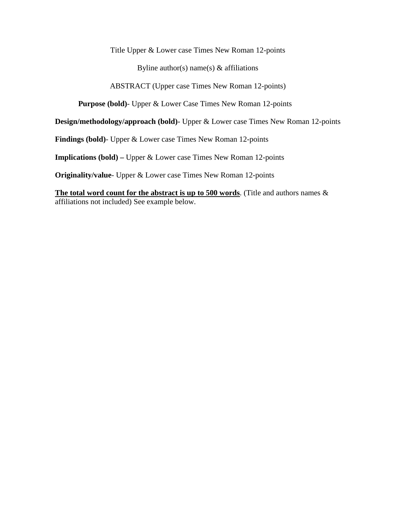Title Upper & Lower case Times New Roman 12-points

Byline author(s) name(s)  $&$  affiliations

ABSTRACT (Upper case Times New Roman 12-points)

**Purpose (bold)**- Upper & Lower Case Times New Roman 12-points

**Design/methodology/approach (bold)**- Upper & Lower case Times New Roman 12-points

**Findings (bold)**- Upper & Lower case Times New Roman 12-points

**Implications (bold) –** Upper & Lower case Times New Roman 12-points

**Originality/value**- Upper & Lower case Times New Roman 12-points

**The total word count for the abstract is up to 500 words**. (Title and authors names & affiliations not included) See example below.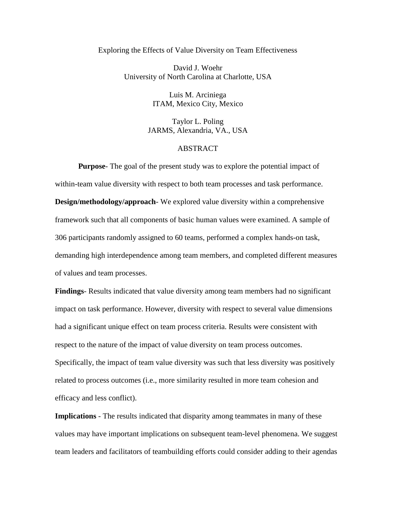## Exploring the Effects of Value Diversity on Team Effectiveness

David J. Woehr University of North Carolina at Charlotte, USA

> Luis M. Arciniega ITAM, Mexico City, Mexico

Taylor L. Poling JARMS, Alexandria, VA., USA

## ABSTRACT

**Purpose**- The goal of the present study was to explore the potential impact of within-team value diversity with respect to both team processes and task performance. **Design/methodology/approach**- We explored value diversity within a comprehensive framework such that all components of basic human values were examined. A sample of 306 participants randomly assigned to 60 teams, performed a complex hands-on task, demanding high interdependence among team members, and completed different measures of values and team processes.

**Findings**- Results indicated that value diversity among team members had no significant impact on task performance. However, diversity with respect to several value dimensions had a significant unique effect on team process criteria. Results were consistent with respect to the nature of the impact of value diversity on team process outcomes. Specifically, the impact of team value diversity was such that less diversity was positively related to process outcomes (i.e., more similarity resulted in more team cohesion and efficacy and less conflict).

**Implications** - The results indicated that disparity among teammates in many of these values may have important implications on subsequent team-level phenomena. We suggest team leaders and facilitators of teambuilding efforts could consider adding to their agendas